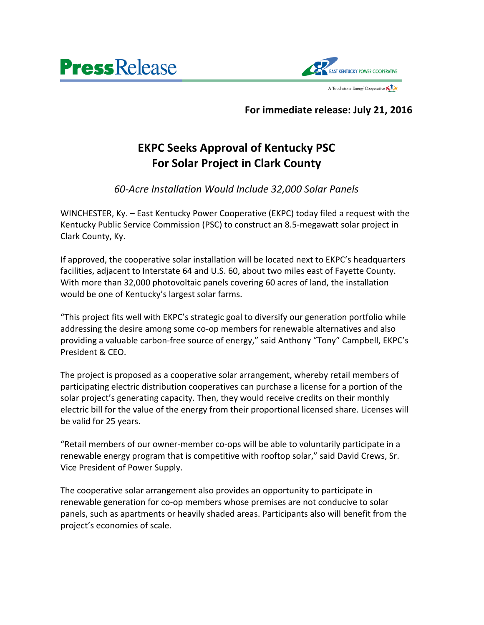



## **For immediate release: July 21, 2016**

## **EKPC Seeks Approval of Kentucky PSC For Solar Project in Clark County**

*60-Acre Installation Would Include 32,000 Solar Panels*

WINCHESTER, Ky. – East Kentucky Power Cooperative (EKPC) today filed a request with the Kentucky Public Service Commission (PSC) to construct an 8.5-megawatt solar project in Clark County, Ky.

If approved, the cooperative solar installation will be located next to EKPC's headquarters facilities, adjacent to Interstate 64 and U.S. 60, about two miles east of Fayette County. With more than 32,000 photovoltaic panels covering 60 acres of land, the installation would be one of Kentucky's largest solar farms.

"This project fits well with EKPC's strategic goal to diversify our generation portfolio while addressing the desire among some co-op members for renewable alternatives and also providing a valuable carbon-free source of energy," said Anthony "Tony" Campbell, EKPC's President & CEO.

The project is proposed as a cooperative solar arrangement, whereby retail members of participating electric distribution cooperatives can purchase a license for a portion of the solar project's generating capacity. Then, they would receive credits on their monthly electric bill for the value of the energy from their proportional licensed share. Licenses will be valid for 25 years.

"Retail members of our owner-member co-ops will be able to voluntarily participate in a renewable energy program that is competitive with rooftop solar," said David Crews, Sr. Vice President of Power Supply.

The cooperative solar arrangement also provides an opportunity to participate in renewable generation for co-op members whose premises are not conducive to solar panels, such as apartments or heavily shaded areas. Participants also will benefit from the project's economies of scale.